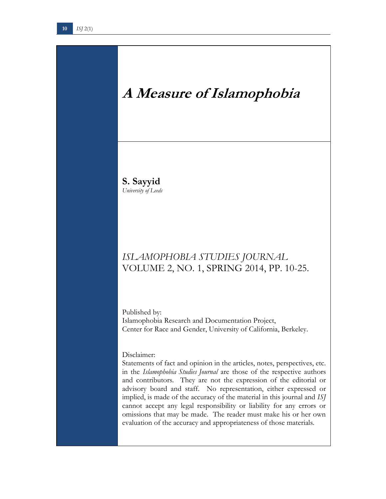

**S. Sayyid** *University of Leeds*

# *ISLAMOPHOBIA STUDIES JOURNAL* VOLUME 2, NO. 1, SPRING 2014, PP. 10-25.

Published by: Islamophobia Research and Documentation Project, Center for Race and Gender, University of California, Berkeley.

# Disclaimer:

Statements of fact and opinion in the articles, notes, perspectives, etc. in the *Islamophobia Studies Journal* are those of the respective authors and contributors. They are not the expression of the editorial or advisory board and staff. No representation, either expressed or implied, is made of the accuracy of the material in this journal and *ISJ* cannot accept any legal responsibility or liability for any errors or omissions that may be made. The reader must make his or her own evaluation of the accuracy and appropriateness of those materials.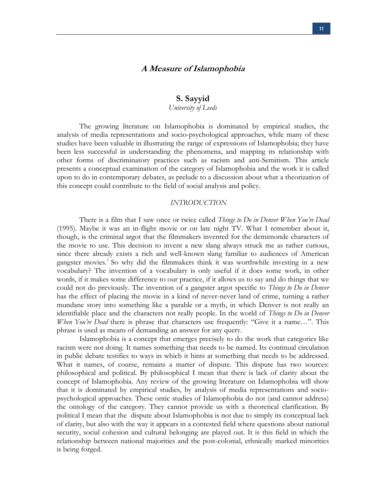# **A Measure of Islamophobia**

# **S. Sayyid**

*University of Leeds*

The growing literature on Islamophobia is dominated by empirical studies, the analysis of media representations and socio-psychological approaches, while many of these studies have been valuable in illustrating the range of expressions of Islamophobia; they have been less successful in understanding the phenomena, and mapping its relationship with other forms of discriminatory practices such as racism and anti-Semitism. This article presents a conceptual examination of the category of Islamophobia and the work it is called upon to do in contemporary debates, as prelude to a discussion about what a theorization of this concept could contribute to the field of social analysis and policy.

## *INTRODUCTION*

There is a film that I saw once or twice called *Things to Do in Denver When You're Dead*  (1995)*.* Maybe it was an in-flight movie or on late night TV. What I remember about it, though, is the criminal argot that the filmmakers invented for the demimonde characters of the movie to use. This decision to invent a new slang always struck me as rather curious, since there already exists a rich and well-known slang familiar to audiences of American gangster movies.1 So why did the filmmakers think it was worthwhile investing in a new vocabulary? The invention of a vocabulary is only useful if it does some work, in other words, if it makes some difference to our practice, if it allows us to say and do things that we could not do previously. The invention of a gangster argot specific to *Things to Do in Denver* has the effect of placing the movie in a kind of never-never land of crime, turning a rather mundane story into something like a parable or a myth, in which Denver is not really an identifiable place and the characters not really people. In the world of *Things to Do in Denver When You're Dead* there is phrase that characters use frequently: "Give it a name...". This phrase is used as means of demanding an answer for any query.

Islamophobia is a concept that emerges precisely to do the work that categories like racism were not doing. It names something that needs to be named. Its continual circulation in public debate testifies to ways in which it hints at something that needs to be addressed. What it names, of course, remains a matter of dispute. This dispute has two sources: philosophical and political. By philosophical I mean that there is lack of clarity about the concept of Islamophobia. Any review of the growing literature on Islamophobia will show that it is dominated by empirical studies, by analysis of media representations and sociopsychological approaches. These ontic studies of Islamophobia do not (and cannot address) the ontology of the category. They cannot provide us with a theoretical clarification. By political I mean that the dispute about Islamophobia is not due to simply its conceptual lack of clarity, but also with the way it appears in a contested field where questions about national security, social cohesion and cultural belonging are played out. It is this field in which the relationship between national majorities and the post-colonial, ethnically marked minorities is being forged.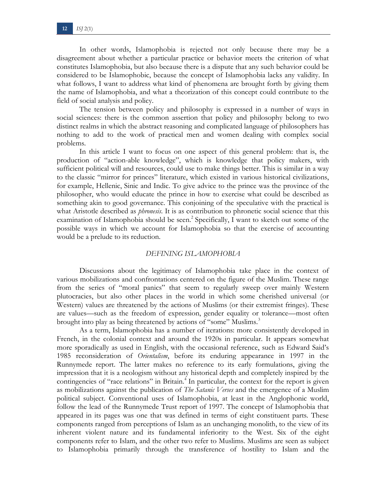In other words, Islamophobia is rejected not only because there may be a disagreement about whether a particular practice or behavior meets the criterion of what constitutes Islamophobia, but also because there is a dispute that any such behavior could be considered to be Islamophobic, because the concept of Islamophobia lacks any validity. In what follows, I want to address what kind of phenomena are brought forth by giving them the name of Islamophobia, and what a theorization of this concept could contribute to the field of social analysis and policy.

The tension between policy and philosophy is expressed in a number of ways in social sciences: there is the common assertion that policy and philosophy belong to two distinct realms in which the abstract reasoning and complicated language of philosophers has nothing to add to the work of practical men and women dealing with complex social problems.

In this article I want to focus on one aspect of this general problem: that is, the production of "action-able knowledge", which is knowledge that policy makers, with sufficient political will and resources, could use to make things better. This is similar in a way to the classic "mirror for princes" literature, which existed in various historical civilizations, for example, Hellenic, Sinic and Indic. To give advice to the prince was the province of the philosopher, who would educate the prince in how to exercise what could be described as something akin to good governance. This conjoining of the speculative with the practical is what Aristotle described as *phronesis*. It is as contribution to phronetic social science that this examination of Islamophobia should be seen.<sup>2</sup> Specifically, I want to sketch out some of the possible ways in which we account for Islamophobia so that the exercise of accounting would be a prelude to its reduction.

## *DEFINING ISLAMOPHOBIA*

Discussions about the legitimacy of Islamophobia take place in the context of various mobilizations and confrontations centered on the figure of the Muslim. These range from the series of "moral panics" that seem to regularly sweep over mainly Western plutocracies, but also other places in the world in which some cherished universal (or Western) values are threatened by the actions of Muslims (or their extremist fringes). These are values—such as the freedom of expression, gender equality or tolerance—most often brought into play as being threatened by actions of "some" Muslims.<sup>3</sup>

As a term, Islamophobia has a number of iterations: more consistently developed in French, in the colonial context and around the 1920s in particular. It appears somewhat more sporadically as used in English, with the occasional reference, such as Edward Said's 1985 reconsideration of *Orientalism*, before its enduring appearance in 1997 in the Runnymede report. The latter makes no reference to its early formulations, giving the impression that it is a neologism without any historical depth and completely inspired by the contingencies of "race relations" in Britain.<sup>4</sup> In particular, the context for the report is given as mobilizations against the publication of *The Satanic Verses* and the emergence of a Muslim political subject. Conventional uses of Islamophobia, at least in the Anglophonic world, follow the lead of the Runnymede Trust report of 1997. The concept of Islamophobia that appeared in its pages was one that was defined in terms of eight constituent parts. These components ranged from perceptions of Islam as an unchanging monolith, to the view of its inherent violent nature and its fundamental inferiority to the West. Six of the eight components refer to Islam, and the other two refer to Muslims. Muslims are seen as subject to Islamophobia primarily through the transference of hostility to Islam and the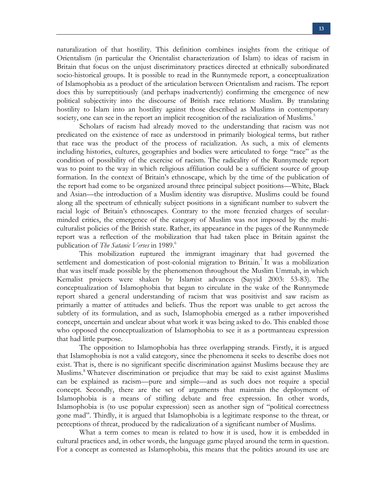naturalization of that hostility. This definition combines insights from the critique of Orientalism (in particular the Orientalist characterization of Islam) to ideas of racism in Britain that focus on the unjust discriminatory practices directed at ethnically subordinated socio-historical groups. It is possible to read in the Runnymede report, a conceptualization of Islamophobia as a product of the articulation between Orientalism and racism. The report does this by surreptitiously (and perhaps inadvertently) confirming the emergence of new political subjectivity into the discourse of British race relations: Muslim. By translating hostility to Islam into an hostility against those described as Muslims in contemporary society, one can see in the report an implicit recognition of the racialization of Muslims.<sup>5</sup>

Scholars of racism had already moved to the understanding that racism was not predicated on the existence of race as understood in primarily biological terms, but rather that race was the product of the process of racialization. As such, a mix of elements including histories, cultures, geographies and bodies were articulated to forge "race" as the condition of possibility of the exercise of racism. The radicality of the Runnymede report was to point to the way in which religious affiliation could be a sufficient source of group formation. In the context of Britain's ethnoscape, which by the time of the publication of the report had come to be organized around three principal subject positions—White, Black and Asian—the introduction of a Muslim identity was disruptive. Muslims could be found along all the spectrum of ethnically subject positions in a significant number to subvert the racial logic of Britain's ethnoscapes. Contrary to the more frenzied charges of secularminded critics, the emergence of the category of Muslim was not imposed by the multiculturalist policies of the British state. Rather, its appearance in the pages of the Runnymede report was a reflection of the mobilization that had taken place in Britain against the publication of *The Satanic Verses* in 1989.<sup>6</sup>

This mobilization ruptured the immigrant imaginary that had governed the settlement and domestication of post-colonial migration to Britain.<sup>7</sup> It was a mobilization that was itself made possible by the phenomenon throughout the Muslim Ummah, in which Kemalist projects were shaken by Islamist advances (Sayyid 2003: 53-83). The conceptualization of Islamophobia that began to circulate in the wake of the Runnymede report shared a general understanding of racism that was positivist and saw racism as primarily a matter of attitudes and beliefs. Thus the report was unable to get across the subtlety of its formulation, and as such, Islamophobia emerged as a rather impoverished concept, uncertain and unclear about what work it was being asked to do. This enabled those who opposed the conceptualization of Islamophobia to see it as a portmanteau expression that had little purpose.

The opposition to Islamophobia has three overlapping strands. Firstly, it is argued that Islamophobia is not a valid category, since the phenomena it seeks to describe does not exist. That is, there is no significant specific discrimination against Muslims because they are Muslims.<sup>8</sup> Whatever discrimination or prejudice that may be said to exist against Muslims can be explained as racism—pure and simple—and as such does not require a special concept. Secondly, there are the set of arguments that maintain the deployment of Islamophobia is a means of stifling debate and free expression. In other words, Islamophobia is (to use popular expression) seen as another sign of "political correctness gone mad". Thirdly, it is argued that Islamophobia is a legitimate response to the threat, or perceptions of threat, produced by the radicalization of a significant number of Muslims.

What a term comes to mean is related to how it is used, how it is embedded in cultural practices and, in other words, the language game played around the term in question. For a concept as contested as Islamophobia, this means that the politics around its use are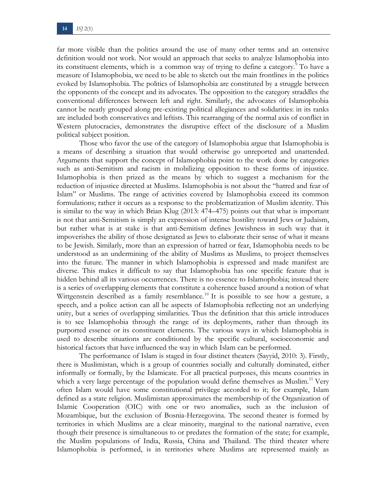

far more visible than the politics around the use of many other terms and an ostensive definition would not work. Nor would an approach that seeks to analyze Islamophobia into its constituent elements, which is a common way of trying to define a category.<sup>9</sup> To have a measure of Islamophobia, we need to be able to sketch out the main frontlines in the politics evoked by Islamophobia. The politics of Islamophobia are constituted by a struggle between the opponents of the concept and its advocates. The opposition to the category straddles the conventional differences between left and right. Similarly, the advocates of Islamophobia cannot be neatly grouped along pre-existing political allegiances and solidarities: in its ranks are included both conservatives and leftists. This rearranging of the normal axis of conflict in Western plutocracies, demonstrates the disruptive effect of the disclosure of a Muslim political subject position.

Those who favor the use of the category of Islamophobia argue that Islamophobia is a means of describing a situation that would otherwise go unreported and unattended. Arguments that support the concept of Islamophobia point to the work done by categories such as anti-Semitism and racism in mobilizing opposition to these forms of injustice. Islamophobia is then prized as the means by which to suggest a mechanism for the reduction of injustice directed at Muslims. Islamophobia is not about the "hatred and fear of Islam" or Muslims. The range of activities covered by Islamophobia exceed its common formulations; rather it occurs as a response to the problematization of Muslim identity. This is similar to the way in which Brian Klug (2013: 474–475) points out that what is important is not that anti-Semitism is simply an expression of intense hostility toward Jews or Judaism, but rather what is at stake is that anti-Semitism defines Jewishness in such way that it impoverishes the ability of those designated as Jews to elaborate their sense of what it means to be Jewish. Similarly, more than an expression of hatred or fear, Islamophobia needs to be understood as an undermining of the ability of Muslims as Muslims, to project themselves into the future. The manner in which Islamophobia is expressed and made manifest are diverse. This makes it difficult to say that Islamophobia has one specific feature that is hidden behind all its various occurrences. There is no essence to Islamophobia; instead there is a series of overlapping elements that constitute a coherence based around a notion of what Wittgenstein described as a family resemblance.<sup>10</sup> It is possible to see how a gesture, a speech, and a police action can all be aspects of Islamophobia reflecting not an underlying unity, but a series of overlapping similarities. Thus the definition that this article introduces is to see Islamophobia through the range of its deployments, rather than through its purported essence or its constituent elements. The various ways in which Islamophobia is used to describe situations are conditioned by the specific cultural, socioeconomic and historical factors that have influenced the way in which Islam can be performed.

The performance of Islam is staged in four distinct theaters (Sayyid, 2010: 3). Firstly, there is Muslimistan, which is a group of countries socially and culturally dominated, either informally or formally, by the Islamicate. For all practical purposes, this means countries in which a very large percentage of the population would define themselves as Muslim.<sup>11</sup> Very often Islam would have some constitutional privilege accorded to it; for example, Islam defined as a state religion. Muslimistan approximates the membership of the Organization of Islamic Cooperation (OIC) with one or two anomalies, such as the inclusion of Mozambique, but the exclusion of Bosnia-Herzegovina. The second theater is formed by territories in which Muslims are a clear minority, marginal to the national narrative, even though their presence is simultaneous to or predates the formation of the state; for example, the Muslim populations of India, Russia, China and Thailand. The third theater where Islamophobia is performed, is in territories where Muslims are represented mainly as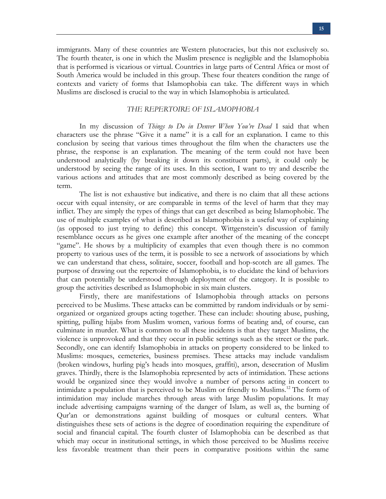immigrants. Many of these countries are Western plutocracies, but this not exclusively so. The fourth theater, is one in which the Muslim presence is negligible and the Islamophobia that is performed is vicarious or virtual. Countries in large parts of Central Africa or most of South America would be included in this group. These four theaters condition the range of contexts and variety of forms that Islamophobia can take. The different ways in which Muslims are disclosed is crucial to the way in which Islamophobia is articulated.

# *THE REPERTOIRE OF ISLAMOPHOBIA*

In my discussion of *Things to Do in Denver When You're Dead* I said that when characters use the phrase "Give it a name" it is a call for an explanation. I came to this conclusion by seeing that various times throughout the film when the characters use the phrase, the response is an explanation. The meaning of the term could not have been understood analytically (by breaking it down its constituent parts), it could only be understood by seeing the range of its uses. In this section, I want to try and describe the various actions and attitudes that are most commonly described as being covered by the term.

The list is not exhaustive but indicative, and there is no claim that all these actions occur with equal intensity, or are comparable in terms of the level of harm that they may inflict. They are simply the types of things that can get described as being Islamophobic. The use of multiple examples of what is described as Islamophobia is a useful way of explaining (as opposed to just trying to define) this concept. Wittgenstein's discussion of family resemblance occurs as he gives one example after another of the meaning of the concept "game". He shows by a multiplicity of examples that even though there is no common property to various uses of the term, it is possible to see a network of associations by which we can understand that chess, solitaire, soccer, football and hop-scotch are all games. The purpose of drawing out the repertoire of Islamophobia, is to elucidate the kind of behaviors that can potentially be understood through deployment of the category. It is possible to group the activities described as Islamophobic in six main clusters.

Firstly, there are manifestations of Islamophobia through attacks on persons perceived to be Muslims. These attacks can be committed by random individuals or by semiorganized or organized groups acting together. These can include: shouting abuse, pushing, spitting, pulling hijabs from Muslim women, various forms of beating and, of course, can culminate in murder. What is common to all these incidents is that they target Muslims, the violence is unprovoked and that they occur in public settings such as the street or the park. Secondly, one can identify Islamophobia in attacks on property considered to be linked to Muslims: mosques, cemeteries, business premises. These attacks may include vandalism (broken windows, hurling pig's heads into mosques, graffiti), arson, desecration of Muslim graves. Thirdly, there is the Islamophobia represented by acts of intimidation. These actions would be organized since they would involve a number of persons acting in concert to intimidate a population that is perceived to be Muslim or friendly to Muslims.<sup>12</sup> The form of intimidation may include marches through areas with large Muslim populations. It may include advertising campaigns warning of the danger of Islam, as well as, the burning of Qur'an or demonstrations against building of mosques or cultural centers. What distinguishes these sets of actions is the degree of coordination requiring the expenditure of social and financial capital. The fourth cluster of Islamophobia can be described as that which may occur in institutional settings, in which those perceived to be Muslims receive less favorable treatment than their peers in comparative positions within the same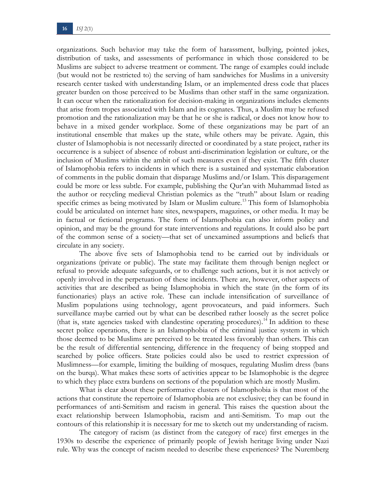

organizations. Such behavior may take the form of harassment, bullying, pointed jokes, distribution of tasks, and assessments of performance in which those considered to be Muslims are subject to adverse treatment or comment. The range of examples could include (but would not be restricted to) the serving of ham sandwiches for Muslims in a university research center tasked with understanding Islam, or an implemented dress code that places greater burden on those perceived to be Muslims than other staff in the same organization. It can occur when the rationalization for decision-making in organizations includes elements that arise from tropes associated with Islam and its cognates. Thus, a Muslim may be refused promotion and the rationalization may be that he or she is radical, or does not know how to behave in a mixed gender workplace. Some of these organizations may be part of an institutional ensemble that makes up the state, while others may be private. Again, this cluster of Islamophobia is not necessarily directed or coordinated by a state project, rather its occurrence is a subject of absence of robust anti-discrimination legislation or culture, or the inclusion of Muslims within the ambit of such measures even if they exist. The fifth cluster of Islamophobia refers to incidents in which there is a sustained and systematic elaboration of comments in the public domain that disparage Muslims and/or Islam. This disparagement could be more or less subtle. For example, publishing the Qur'an with Muhammad listed as the author or recycling medieval Christian polemics as the "truth" about Islam or reading specific crimes as being motivated by Islam or Muslim culture.<sup>13</sup> This form of Islamophobia could be articulated on internet hate sites, newspapers, magazines, or other media. It may be in factual or fictional programs. The form of Islamophobia can also inform policy and opinion, and may be the ground for state interventions and regulations. It could also be part of the common sense of a society—that set of unexamined assumptions and beliefs that circulate in any society.

The above five sets of Islamophobia tend to be carried out by individuals or organizations (private or public). The state may facilitate them through benign neglect or refusal to provide adequate safeguards, or to challenge such actions, but it is not actively or openly involved in the perpetuation of these incidents. There are, however, other aspects of activities that are described as being Islamophobia in which the state (in the form of its functionaries) plays an active role. These can include intensification of surveillance of Muslim populations using technology, agent provocateurs, and paid informers. Such surveillance maybe carried out by what can be described rather loosely as the secret police (that is, state agencies tasked with clandestine operating procedures).<sup>14</sup> In addition to these secret police operations, there is an Islamophobia of the criminal justice system in which those deemed to be Muslims are perceived to be treated less favorably than others. This can be the result of differential sentencing, difference in the frequency of being stopped and searched by police officers. State policies could also be used to restrict expression of Muslimness—for example, limiting the building of mosques, regulating Muslim dress (bans on the burqa). What makes these sorts of activities appear to be Islamophobic is the degree to which they place extra burdens on sections of the population which are mostly Muslim.

What is clear about these performative clusters of Islamophobia is that most of the actions that constitute the repertoire of Islamophobia are not exclusive; they can be found in performances of anti-Semitism and racism in general. This raises the question about the exact relationship between Islamophobia, racism and anti-Semitism. To map out the contours of this relationship it is necessary for me to sketch out my understanding of racism.

The category of racism (as distinct from the category of race) first emerges in the 1930s to describe the experience of primarily people of Jewish heritage living under Nazi rule. Why was the concept of racism needed to describe these experiences? The Nuremberg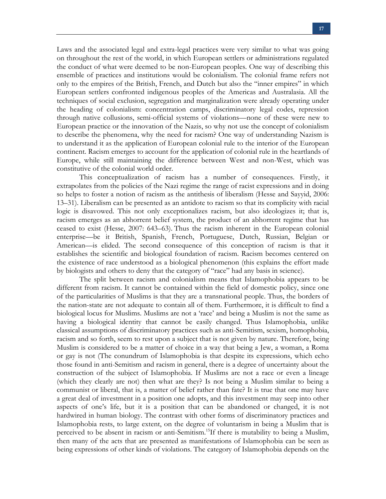Laws and the associated legal and extra-legal practices were very similar to what was going on throughout the rest of the world, in which European settlers or administrations regulated the conduct of what were deemed to be non-European peoples. One way of describing this ensemble of practices and institutions would be colonialism. The colonial frame refers not only to the empires of the British, French, and Dutch but also the "inner empires" in which European settlers confronted indigenous peoples of the Americas and Australasia. All the techniques of social exclusion, segregation and marginalization were already operating under the heading of colonialism: concentration camps, discriminatory legal codes, repression through native collusions, semi-official systems of violations—none of these were new to European practice or the innovation of the Nazis, so why not use the concept of colonialism to describe the phenomena, why the need for racism? One way of understanding Nazism is to understand it as the application of European colonial rule to the interior of the European continent. Racism emerges to account for the application of colonial rule in the heartlands of Europe, while still maintaining the difference between West and non-West, which was constitutive of the colonial world order.

This conceptualization of racism has a number of consequences. Firstly, it extrapolates from the policies of the Nazi regime the range of racist expressions and in doing so helps to foster a notion of racism as the antithesis of liberalism (Hesse and Sayyid, 2006: 13–31). Liberalism can be presented as an antidote to racism so that its complicity with racial logic is disavowed. This not only exceptionalizes racism, but also ideologizes it; that is, racism emerges as an abhorrent belief system, the product of an abhorrent regime that has ceased to exist (Hesse, 2007: 643–63). Thus the racism inherent in the European colonial enterprise—be it British, Spanish, French, Portuguese, Dutch, Russian, Belgian or American—is elided. The second consequence of this conception of racism is that it establishes the scientific and biological foundation of racism. Racism becomes centered on the existence of race understood as a biological phenomenon (this explains the effort made by biologists and others to deny that the category of "race" had any basis in science).

The split between racism and colonialism means that Islamophobia appears to be different from racism. It cannot be contained within the field of domestic policy, since one of the particularities of Muslims is that they are a transnational people. Thus, the borders of the nation-state are not adequate to contain all of them. Furthermore, it is difficult to find a biological locus for Muslims. Muslims are not a 'race' and being a Muslim is not the same as having a biological identity that cannot be easily changed. Thus Islamophobia, unlike classical assumptions of discriminatory practices such as anti-Semitism, sexism, homophobia, racism and so forth, seem to rest upon a subject that is not given by nature. Therefore, being Muslim is considered to be a matter of choice in a way that being a Jew, a woman, a Roma or gay is not (The conundrum of Islamophobia is that despite its expressions, which echo those found in anti-Semitism and racism in general, there is a degree of uncertainty about the construction of the subject of Islamophobia. If Muslims are not a race or even a lineage (which they clearly are not) then what are they? Is not being a Muslim similar to being a communist or liberal, that is, a matter of belief rather than fate? It is true that one may have a great deal of investment in a position one adopts, and this investment may seep into other aspects of one's life, but it is a position that can be abandoned or changed, it is not hardwired in human biology. The contrast with other forms of discriminatory practices and Islamophobia rests, to large extent, on the degree of voluntarism in being a Muslim that is perceived to be absent in racism or anti-Semitism.<sup>15</sup>If there is mutability to being a Muslim, then many of the acts that are presented as manifestations of Islamophobia can be seen as being expressions of other kinds of violations. The category of Islamophobia depends on the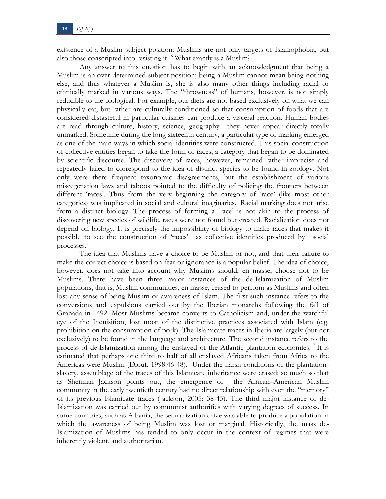existence of a Muslim subject position. Muslims are not only targets of Islamophobia, but also those conscripted into resisting it.<sup>16</sup> What exactly is a Muslim?

Any answer to this question has to begin with an acknowledgment that being a Muslim is an over determined subject position; being a Muslim cannot mean being nothing else, and thus whatever a Muslim is, she is also many other things including racial or ethnically marked in various ways. The "throwness" of humans, however, is not simply reducible to the biological. For example, our diets are not based exclusively on what we can physically eat, but rather are culturally conditioned so that consumption of foods that are considered distasteful in particular cuisines can produce a visceral reaction. Human bodies are read through culture, history, science, geography—they never appear directly totally unmarked. Sometime during the long sixteenth century, a particular type of marking emerged as one of the main ways in which social identities were constructed. This social construction of collective entities began to take the form of races, a category that began to be dominated by scientific discourse. The discovery of races, however, remained rather imprecise and repeatedly failed to correspond to the idea of distinct species to be found in zoology. Not only were there frequent taxonomic disagreements, but the establishment of various miscegenation laws and taboos pointed to the difficulty of policing the frontiers between different 'races'. Thus from the very beginning the category of 'race' (like most other categories) was implicated in social and cultural imaginaries.. Racial marking does not arise from a distinct biology. The process of forming a 'race' is not akin to the process of discovering new species of wildlife, races were not found but created. Racialization does not depend on biology. It is precisely the impossibility of biology to make races that makes it possible to see the construction of 'races' as collective identities produced by social processes.

The idea that Muslims have a choice to be Muslim or not, and that their failure to make the correct choice is based on fear or ignorance is a popular belief. The idea of choice, however, does not take into account why Muslims should, en masse, choose not to be Muslims. There have been three major instances of the de-Islamization of Muslim populations, that is, Muslim communities, en masse, ceased to perform as Muslims and often lost any sense of being Muslim or awareness of Islam. The first such instance refers to the conversions and expulsions carried out by the Iberian monarchs following the fall of Granada in 1492. Most Muslims became converts to Catholicism and, under the watchful eye of the Inquisition, lost most of the distinctive practices associated with Islam (e.g. prohibition on the consumption of pork). The Islamicate traces in Iberia are largely (but not exclusively) to be found in the language and architecture. The second instance refers to the process of de-Islamization among the enslaved of the Atlantic plantation economies.<sup>17</sup> It is estimated that perhaps one third to half of all enslaved Africans taken from Africa to the Americas were Muslim (Diouf, 1998:46-48). Under the harsh conditions of the plantationslavery, assemblage of the traces of this Islamicate inheritance were erased; so much so that as Sherman Jackson points out, the emergence of the African–American Muslim community in the early twentieth century had no direct relationship with even the "memory" of its previous Islamicate traces (Jackson, 2005: 38-45). The third major instance of de-Islamization was carried out by communist authorities with varying degrees of success. In some countries, such as Albania, the secularization drive was able to produce a population in which the awareness of being Muslim was lost or marginal. Historically, the mass de-Islamization of Muslims has tended to only occur in the context of regimes that were inherently violent, and authoritarian.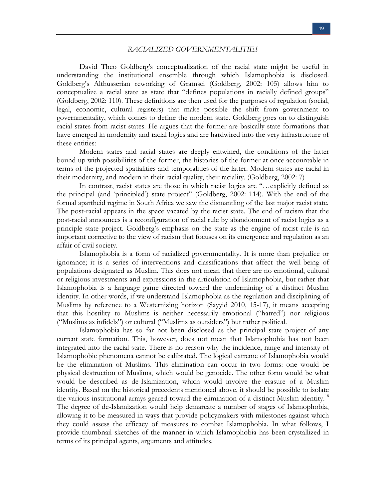#### *RACIALIZED GOVERNMENTALITIES*

David Theo Goldberg's conceptualization of the racial state might be useful in understanding the institutional ensemble through which Islamophobia is disclosed. Goldberg's Althusserian reworking of Gramsci (Goldberg, 2002: 105) allows him to conceptualize a racial state as state that "defines populations in racially defined groups" (Goldberg, 2002: 110). These definitions are then used for the purposes of regulation (social, legal, economic, cultural registers) that make possible the shift from government to governmentality, which comes to define the modern state. Goldberg goes on to distinguish racial states from racist states. He argues that the former are basically state formations that have emerged in modernity and racial logics and are hardwired into the very infrastructure of these entities:

Modern states and racial states are deeply entwined, the conditions of the latter bound up with possibilities of the former, the histories of the former at once accountable in terms of the projected spatialities and temporalities of the latter. Modern states are racial in their modernity, and modern in their racial quality, their raciality. (Goldberg, 2002: 7)

In contrast, racist states are those in which racist logics are "…explicitly defined as the principal (and 'principled') state project" (Goldberg, 2002: 114). With the end of the formal apartheid regime in South Africa we saw the dismantling of the last major racist state. The post-racial appears in the space vacated by the racist state. The end of racism that the post-racial announces is a reconfiguration of racial rule by abandonment of racist logics as a principle state project. Goldberg's emphasis on the state as the engine of racist rule is an important corrective to the view of racism that focuses on its emergence and regulation as an affair of civil society.

Islamophobia is a form of racialized governmentality. It is more than prejudice or ignorance; it is a series of interventions and classifications that affect the well-being of populations designated as Muslim. This does not mean that there are no emotional, cultural or religious investments and expressions in the articulation of Islamophobia, but rather that Islamophobia is a language game directed toward the undermining of a distinct Muslim identity. In other words, if we understand Islamophobia as the regulation and disciplining of Muslims by reference to a Westernizing horizon (Sayyid 2010, 15-17), it means accepting that this hostility to Muslims is neither necessarily emotional ("hatred") nor religious ("Muslims as infidels") or cultural ("Muslims as outsiders") but rather political.

Islamophobia has so far not been disclosed as the principal state project of any current state formation. This, however, does not mean that Islamophobia has not been integrated into the racial state. There is no reason why the incidence, range and intensity of Islamophobic phenomena cannot be calibrated. The logical extreme of Islamophobia would be the elimination of Muslims. This elimination can occur in two forms: one would be physical destruction of Muslims, which would be genocide. The other form would be what would be described as de-Islamization, which would involve the erasure of a Muslim identity. Based on the historical precedents mentioned above, it should be possible to isolate the various institutional arrays geared toward the elimination of a distinct Muslim identity.<sup>18</sup> The degree of de-Islamization would help demarcate a number of stages of Islamophobia, allowing it to be measured in ways that provide policymakers with milestones against which they could assess the efficacy of measures to combat Islamophobia. In what follows, I provide thumbnail sketches of the manner in which Islamophobia has been crystallized in terms of its principal agents, arguments and attitudes.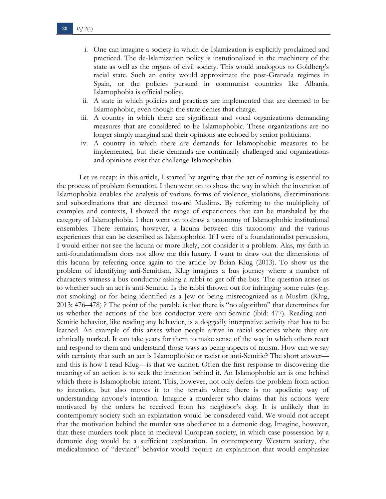- i. One can imagine a society in which de-Islamization is explicitly proclaimed and practiced. The de-Islamization policy is instutionalized in the machinery of the state as well as the organs of civil society. This would analogous to Goldberg's racial state. Such an entity would approximate the post-Granada regimes in Spain, or the policies pursued in communist countries like Albania. Islamophobia is official policy.
- ii. A state in which policies and practices are implemented that are deemed to be Islamophobic, even though the state denies that charge.
- iii. A country in which there are significant and vocal organizations demanding measures that are considered to be Islamophobic. These organizations are no longer simply marginal and their opinions are echoed by senior politicians.
- iv. A country in which there are demands for Islamophobic measures to be implemented, but these demands are continually challenged and organizations and opinions exist that challenge Islamophobia.

Let us recap: in this article, I started by arguing that the act of naming is essential to the process of problem formation. I then went on to show the way in which the invention of Islamophobia enables the analysis of various forms of violence, violations, discriminations and subordinations that are directed toward Muslims. By referring to the multiplicity of examples and contexts, I showed the range of experiences that can be marshaled by the category of Islamophobia. I then went on to draw a taxonomy of Islamophobic institutional ensembles. There remains, however, a lacuna between this taxonomy and the various experiences that can be described as Islamophobic. If I were of a foundationalist persuasion, I would either not see the lacuna or more likely, not consider it a problem. Alas, my faith in anti-foundationalism does not allow me this luxury. I want to draw out the dimensions of this lacuna by referring once again to the article by Brian Klug (2013). To show us the problem of identifying anti-Semitism, Klug imagines a bus journey where a number of characters witness a bus conductor asking a rabbi to get off the bus. The question arises as to whether such an act is anti-Semitic. Is the rabbi thrown out for infringing some rules (e.g. not smoking) or for being identified as a Jew or being misrecognized as a Muslim (Klug, 2013: 476–478) ? The point of the parable is that there is "no algorithm" that determines for us whether the actions of the bus conductor were anti-Semitic (ibid: 477). Reading anti-Semitic behavior, like reading any behavior, is a doggedly interpretive activity that has to be learned. An example of this arises when people arrive in racial societies where they are ethnically marked. It can take years for them to make sense of the way in which others react and respond to them and understand those ways as being aspects of racism. How can we say with certainty that such an act is Islamophobic or racist or anti-Semitic? The short answer and this is how I read Klug—is that we cannot. Often the first response to discovering the meaning of an action is to seek the intention behind it. An Islamophobic act is one behind which there is Islamophobic intent. This, however, not only defers the problem from action to intention, but also moves it to the terrain where there is no apodictic way of understanding anyone's intention. Imagine a murderer who claims that his actions were motivated by the orders he received from his neighbor's dog. It is unlikely that in contemporary society such an explanation would be considered valid. We would not accept that the motivation behind the murder was obedience to a demonic dog. Imagine, however, that these murders took place in medieval European society, in which case possession by a demonic dog would be a sufficient explanation. In contemporary Western society, the medicalization of "deviant" behavior would require an explanation that would emphasize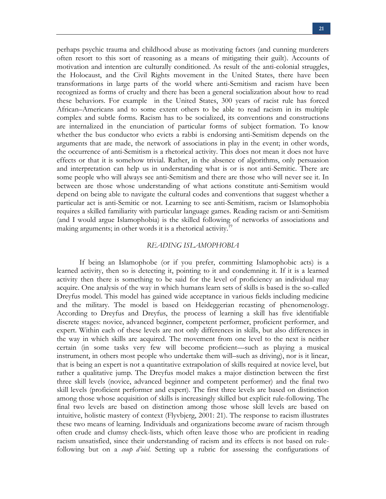perhaps psychic trauma and childhood abuse as motivating factors (and cunning murderers often resort to this sort of reasoning as a means of mitigating their guilt). Accounts of motivation and intention are culturally conditioned. As result of the anti-colonial struggles, the Holocaust, and the Civil Rights movement in the United States, there have been transformations in large parts of the world where anti-Semitism and racism have been recognized as forms of cruelty and there has been a general socialization about how to read these behaviors. For example in the United States, 300 years of racist rule has forced African–Americans and to some extent others to be able to read racism in its multiple complex and subtle forms. Racism has to be socialized, its conventions and constructions are internalized in the enunciation of particular forms of subject formation. To know whether the bus conductor who evicts a rabbi is endorsing anti-Semitism depends on the arguments that are made, the network of associations in play in the event; in other words, the occurrence of anti-Semitism is a rhetorical activity. This does not mean it does not have effects or that it is somehow trivial. Rather, in the absence of algorithms, only persuasion and interpretation can help us in understanding what is or is not anti-Semitic. There are some people who will always see anti-Semitism and there are those who will never see it. In between are those whose understanding of what actions constitute anti-Semitism would depend on being able to navigate the cultural codes and conventions that suggest whether a particular act is anti-Semitic or not. Learning to see anti-Semitism, racism or Islamophobia requires a skilled familiarity with particular language games. Reading racism or anti-Semitism (and I would argue Islamophobia) is the skilled following of networks of associations and making arguments; in other words it is a rhetorical activity.<sup>19</sup>

# *READING ISLAMOPHOBIA*

If being an Islamophobe (or if you prefer, committing Islamophobic acts) is a learned activity, then so is detecting it, pointing to it and condemning it. If it is a learned activity then there is something to be said for the level of proficiency an individual may acquire. One analysis of the way in which humans learn sets of skills is based is the so-called Dreyfus model. This model has gained wide acceptance in various fields including medicine and the military. The model is based on Heideggerian recasting of phenomenology. According to Dreyfus and Dreyfus, the process of learning a skill has five identifiable discrete stages: novice, advanced beginner, competent performer, proficient performer, and expert. Within each of these levels are not only differences in skills, but also differences in the way in which skills are acquired. The movement from one level to the next is neither certain (in some tasks very few will become proficient—such as playing a musical instrument, in others most people who undertake them will–such as driving), nor is it linear, that is being an expert is not a quantitative extrapolation of skills required at novice level, but rather a qualitative jump. The Dreyfus model makes a major distinction between the first three skill levels (novice, advanced beginner and competent performer) and the final two skill levels (proficient performer and expert). The first three levels are based on distinction among those whose acquisition of skills is increasingly skilled but explicit rule-following. The final two levels are based on distinction among those whose skill levels are based on intuitive, holistic mastery of context (Flyvbjerg, 2001: 21). The response to racism illustrates these two means of learning. Individuals and organizations become aware of racism through often crude and clumsy check-lists, which often leave those who are proficient in reading racism unsatisfied, since their understanding of racism and its effects is not based on rulefollowing but on a *coup d'oiel*. Setting up a rubric for assessing the configurations of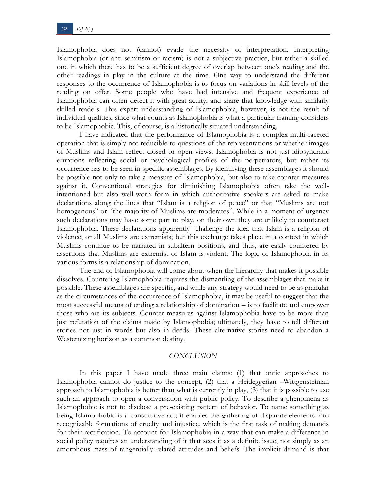

Islamophobia does not (cannot) evade the necessity of interpretation. Interpreting Islamophobia (or anti-semitism or racism) is not a subjective practice, but rather a skilled one in which there has to be a sufficient degree of overlap between one's reading and the other readings in play in the culture at the time. One way to understand the different responses to the occurrence of Islamophobia is to focus on variations in skill levels of the reading on offer. Some people who have had intensive and frequent experience of Islamophobia can often detect it with great acuity, and share that knowledge with similarly skilled readers. This expert understanding of Islamophobia, however, is not the result of individual qualities, since what counts as Islamophobia is what a particular framing considers to be Islamophobic. This, of course, is a historically situated understanding.

I have indicated that the performance of Islamophobia is a complex multi-faceted operation that is simply not reducible to questions of the representations or whether images of Muslims and Islam reflect closed or open views. Islamophobia is not just idiosyncratic eruptions reflecting social or psychological profiles of the perpetrators, but rather its occurrence has to be seen in specific assemblages. By identifying these assemblages it should be possible not only to take a measure of Islamophobia, but also to take counter-measures against it. Conventional strategies for diminishing Islamophobia often take the wellintentioned but also well-worn form in which authoritative speakers are asked to make declarations along the lines that "Islam is a religion of peace" or that "Muslims are not homogenous" or "the majority of Muslims are moderates". While in a moment of urgency such declarations may have some part to play, on their own they are unlikely to counteract Islamophobia. These declarations apparently challenge the idea that Islam is a religion of violence, or all Muslims are extremists; but this exchange takes place in a context in which Muslims continue to be narrated in subaltern positions, and thus, are easily countered by assertions that Muslims are extremist or Islam is violent. The logic of Islamophobia in its various forms is a relationship of domination.

The end of Islamophobia will come about when the hierarchy that makes it possible dissolves. Countering Islamophobia requires the dismantling of the assemblages that make it possible. These assemblages are specific, and while any strategy would need to be as granular as the circumstances of the occurrence of Islamophobia, it may be useful to suggest that the most successful means of ending a relationship of domination – is to facilitate and empower those who are its subjects. Counter-measures against Islamophobia have to be more than just refutation of the claims made by Islamophobia; ultimately, they have to tell different stories not just in words but also in deeds. These alternative stories need to abandon a Westernizing horizon as a common destiny.

## *CONCLUSION*

In this paper I have made three main claims: (1) that ontic approaches to Islamophobia cannot do justice to the concept, (2) that a Heideggerian –Wittgensteinian approach to Islamophobia is better than what is currently in play, (3) that it is possible to use such an approach to open a conversation with public policy. To describe a phenomena as Islamophobic is not to disclose a pre-existing pattern of behavior. To name something as being Islamophobic is a constitutive act; it enables the gathering of disparate elements into recognizable formations of cruelty and injustice, which is the first task of making demands for their rectification. To account for Islamophobia in a way that can make a difference in social policy requires an understanding of it that sees it as a definite issue, not simply as an amorphous mass of tangentially related attitudes and beliefs. The implicit demand is that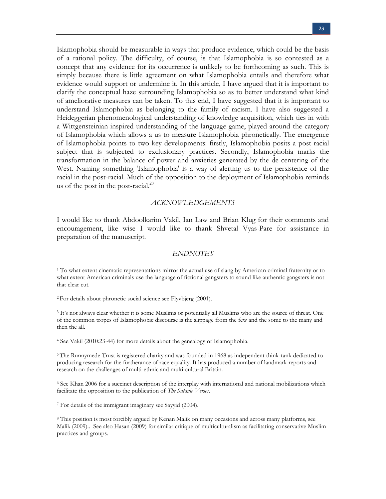Islamophobia should be measurable in ways that produce evidence, which could be the basis of a rational policy. The difficulty, of course, is that Islamophobia is so contested as a concept that any evidence for its occurrence is unlikely to be forthcoming as such. This is simply because there is little agreement on what Islamophobia entails and therefore what evidence would support or undermine it. In this article, I have argued that it is important to clarify the conceptual haze surrounding Islamophobia so as to better understand what kind of ameliorative measures can be taken. To this end, I have suggested that it is important to understand Islamophobia as belonging to the family of racism. I have also suggested a Heideggerian phenomenological understanding of knowledge acquisition, which ties in with a Wittgensteinian-inspired understanding of the language game, played around the category of Islamophobia which allows a us to measure Islamophobia phronetically. The emergence of Islamophobia points to two key developments: firstly, Islamophobia posits a post-racial subject that is subjected to exclusionary practices. Secondly, Islamophobia marks the transformation in the balance of power and anxieties generated by the de-centering of the West. Naming something 'Islamophobia' is a way of alerting us to the persistence of the racial in the post-racial. Much of the opposition to the deployment of Islamophobia reminds us of the post in the post-racial. $^{20}$ 

# *ACKNOWLEDGEMENTS*

I would like to thank Abdoolkarim Vakil, Ian Law and Brian Klug for their comments and encouragement, like wise I would like to thank Shvetal Vyas-Pare for assistance in preparation of the manuscript.

## *ENDNOTES*

<sup>1</sup> To what extent cinematic representations mirror the actual use of slang by American criminal fraternity or to what extent American criminals use the language of fictional gangsters to sound like authentic gangsters is not that clear cut.

<sup>2</sup> For details about phronetic social science see Flyvbjerg (2001).

<sup>3</sup> It's not always clear whether it is some Muslims or potentially all Muslims who are the source of threat. One of the common tropes of Islamophobic discourse is the slippage from the few and the some to the many and then the all.

<sup>4</sup> See Vakil (2010:23-44) for more details about the genealogy of Islamophobia.

<sup>5</sup> The Runnymede Trust is registered charity and was founded in 1968 as independent think-tank dedicated to producing research for the furtherance of race equality. It has produced a number of landmark reports and research on the challenges of multi-ethnic and multi-cultural Britain.

<sup>6</sup> See Khan 2006 for a succinct description of the interplay with international and national mobilizations which facilitate the opposition to the publication of *The Satanic Verses*.

<sup>7</sup> For details of the immigrant imaginary see Sayyid (2004).

<sup>8</sup> This position is most forcibly argued by Kenan Malik on many occasions and across many platforms, see Malik (2009).. See also Hasan (2009) for similar critique of multiculturalism as facilitating conservative Muslim practices and groups.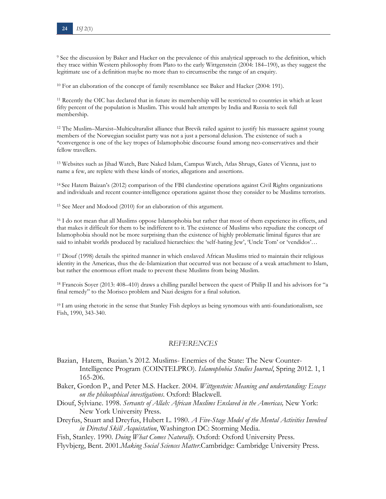

<sup>9</sup> See the discussion by Baker and Hacker on the prevalence of this analytical approach to the definition, which they trace within Western philosophy from Plato to the early Wittgenstein (2004: 184–190), as they suggest the legitimate use of a definition maybe no more than to circumscribe the range of an enquiry.

<sup>10</sup> For an elaboration of the concept of family resemblance see Baker and Hacker (2004: 191).

<sup>11</sup> Recently the OIC has declared that in future its membership will be restricted to countries in which at least fifty percent of the population is Muslim. This would halt attempts by India and Russia to seek full membership.

<sup>12</sup> The Muslim–Marxist–Multiculturalist alliance that Brevik railed against to justify his massacre against young members of the Norwegian socialist party was not a just a personal delusion. The existence of such a \*convergence is one of the key tropes of Islamophobic discourse found among neo-conservatives and their fellow travellers.

<sup>13</sup> Websites such as Jihad Watch, Bare Naked Islam, Campus Watch, Atlas Shrugs, Gates of Vienna, just to name a few, are replete with these kinds of stories, allegations and assertions.

<sup>14</sup> See Hatem Baizan's (2012) comparison of the FBI clandestine operations against Civil Rights organizations and individuals and recent counter-intelligence operations against those they consider to be Muslims terrorists.

<sup>15</sup> See Meer and Modood (2010) for an elaboration of this argument.

<sup>16</sup> I do not mean that all Muslims oppose Islamophobia but rather that most of them experience its effects, and that makes it difficult for them to be indifferent to it. The existence of Muslims who repudiate the concept of Islamophobia should not be more surprising than the existence of highly problematic liminal figures that are said to inhabit worlds produced by racialized hierarchies: the 'self-hating Jew', 'Uncle Tom' or 'vendidos'...

<sup>17</sup> Diouf (1998) details the spirited manner in which enslaved African Muslims tried to maintain their religious identity in the Americas, thus the de-Islamization that occurred was not because of a weak attachment to Islam, but rather the enormous effort made to prevent these Muslims from being Muslim.

<sup>18</sup> Francois Soyer (2013: 408–410) draws a chilling parallel between the quest of Philip II and his advisors for "a final remedy" to the Morisco problem and Nazi designs for a final solution.

<sup>19</sup> I am using rhetoric in the sense that Stanley Fish deploys as being synomous with anti-foundationalism, see Fish, 1990, 343-340.

# *REFERENCES*

- Bazian, Hatem, Bazian.'s 2012. Muslims- Enemies of the State: The New Counter-Intelligence Program (COINTELPRO). *Islamophobia Studies Journal*, Spring 2012. 1, 1 165-206.
- Baker, Gordon P., and Peter M.S. Hacker. 2004. *Wittgenstein: Meaning and understanding: Essays on the philosophical investigations*. Oxford: Blackwell.
- Diouf, Sylviane. 1998. *Servants of Allah: African Muslims Enslaved in the Americas,* New York: New York University Press.
- Dreyfus, Stuart and Dreyfus, Hubert L. 1980. *A Five-Stage Model of the Mental Activities Involved in Directed Skill Acquistation*, Washington DC: Storming Media.

Fish, Stanley. 1990. *Doing What Comes Naturally.* Oxford: Oxford University Press.

Flyvbjerg, Bent. 2001.*Making Social Sciences Matter*.Cambridge: Cambridge University Press.